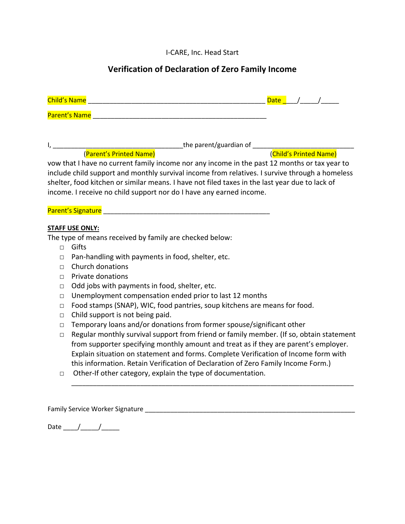I-CARE, Inc. Head Start

# **Verification of Declaration of Zero Family Income**

|        | Child's Name<br>$\sqrt{a}$ $\sqrt{a}$ $\sqrt{a}$<br><u> 1980 - Jan James James Barnett, margaret eta biztanleria (h. 1980).</u>                                                                                                |
|--------|--------------------------------------------------------------------------------------------------------------------------------------------------------------------------------------------------------------------------------|
|        | Parent's Name                                                                                                                                                                                                                  |
|        |                                                                                                                                                                                                                                |
|        |                                                                                                                                                                                                                                |
|        |                                                                                                                                                                                                                                |
|        | vow that I have no current family income nor any income in the past 12 months or tax year to                                                                                                                                   |
|        | include child support and monthly survival income from relatives. I survive through a homeless                                                                                                                                 |
|        | shelter, food kitchen or similar means. I have not filed taxes in the last year due to lack of                                                                                                                                 |
|        | income. I receive no child support nor do I have any earned income.                                                                                                                                                            |
|        |                                                                                                                                                                                                                                |
|        | Parent's Signature and the contract of the contract of the contract of the contract of the contract of the contract of the contract of the contract of the contract of the contract of the contract of the contract of the con |
|        |                                                                                                                                                                                                                                |
|        | <b>STAFF USE ONLY:</b><br>The type of means received by family are checked below:                                                                                                                                              |
| $\Box$ | Gifts                                                                                                                                                                                                                          |
|        |                                                                                                                                                                                                                                |
| $\Box$ | Pan-handling with payments in food, shelter, etc.<br>Church donations                                                                                                                                                          |
| П.     |                                                                                                                                                                                                                                |
| П.     | <b>Private donations</b>                                                                                                                                                                                                       |
| $\Box$ | Odd jobs with payments in food, shelter, etc.                                                                                                                                                                                  |
| П      | Unemployment compensation ended prior to last 12 months                                                                                                                                                                        |
| $\Box$ | Food stamps (SNAP), WIC, food pantries, soup kitchens are means for food.                                                                                                                                                      |
| П      | Child support is not being paid.                                                                                                                                                                                               |
| $\Box$ | Temporary loans and/or donations from former spouse/significant other                                                                                                                                                          |
| $\Box$ | Regular monthly survival support from friend or family member. (If so, obtain statement                                                                                                                                        |
|        | from supporter specifying monthly amount and treat as if they are parent's employer.                                                                                                                                           |
|        | Explain situation on statement and forms. Complete Verification of Income form with                                                                                                                                            |
|        | this information. Retain Verification of Declaration of Zero Family Income Form.)                                                                                                                                              |
| $\Box$ | Other-If other category, explain the type of documentation.                                                                                                                                                                    |
|        |                                                                                                                                                                                                                                |
|        |                                                                                                                                                                                                                                |

Family Service Worker Signature \_\_\_\_\_\_\_\_\_\_\_\_\_\_\_\_\_\_\_\_\_\_\_\_\_\_\_\_\_\_\_\_\_\_\_\_\_\_\_\_\_\_\_\_\_\_\_\_\_\_\_\_\_\_\_\_\_\_

Date \_\_\_\_/\_\_\_\_\_/\_\_\_\_\_